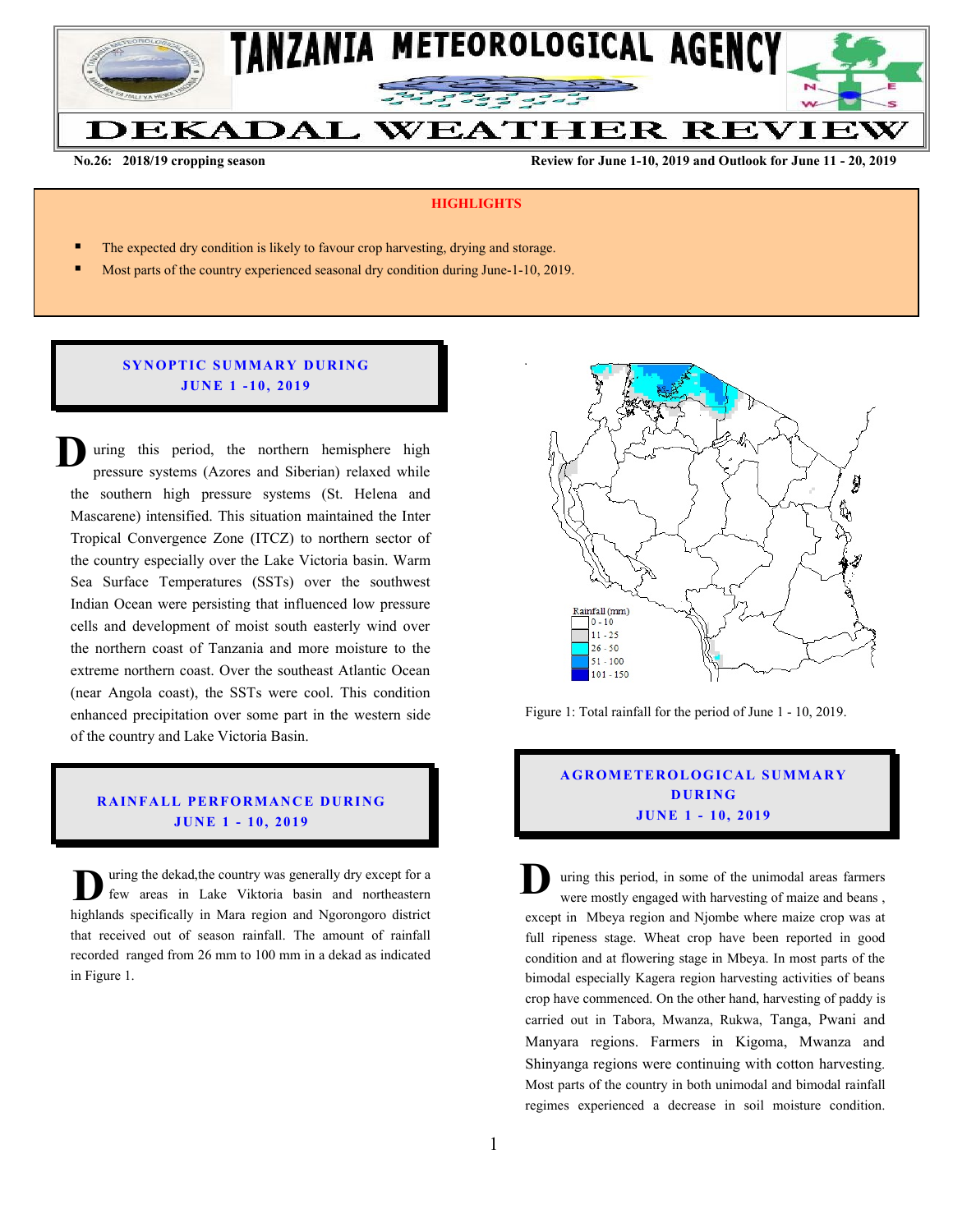

**No.26: 2018/19 cropping season Review for June 1-10, 2019 and Outlook for June 11 - 20, 2019** 

#### **HIGHLIGHTS**

- The expected dry condition is likely to favour crop harvesting, drying and storage.
- Most parts of the country experienced seasonal dry condition during June-1-10, 2019.

## **SYNOPTIC SUMMARY DURING JU N E 1 - 10, 201 9**

uring this period, the northern hemisphere high pressure systems (Azores and Siberian) relaxed while the southern high pressure systems (St. Helena and Mascarene) intensified. This situation maintained the Inter Tropical Convergence Zone (ITCZ) to northern sector of the country especially over the Lake Victoria basin. Warm Sea Surface Temperatures (SSTs) over the southwest Indian Ocean were persisting that influenced low pressure cells and development of moist south easterly wind over the northern coast of Tanzania and more moisture to the extreme northern coast. Over the southeast Atlantic Ocean (near Angola coast), the SSTs were cool. This condition enhanced precipitation over some part in the western side of the country and Lake Victoria Basin. **D**

## **RAINFALL PERFORMANCE DURING JU N E 1 - 10, 201 9**

uring the dekad,the country was generally dry except for a few areas in Lake Viktoria basin and northeastern highlands specifically in Mara region and Ngorongoro district that received out of season rainfall. The amount of rainfall recorded ranged from 26 mm to 100 mm in a dekad as indicated in Figure 1. U uring the dekad, the country was generally dry except for a<br>few areas in Lake Viktoria basin and northeastern<br>in the architecture of Magnetics and Magnetics district



Figure 1: Total rainfall for the period of June 1 - 10, 2019.

# **A G RO METER O LO G IC AL SU MMAR Y D UR ING JU N E 1 - 10, 2019**

uring this period, in some of the unimodal areas farmers were mostly engaged with harvesting of maize and beans , except in Mbeya region and Njombe where maize crop was at full ripeness stage. Wheat crop have been reported in good condition and at flowering stage in Mbeya. In most parts of the bimodal especially Kagera region harvesting activities of beans crop have commenced. On the other hand, harvesting of paddy is carried out in Tabora, Mwanza, Rukwa, Tanga, Pwani and Manyara regions. Farmers in Kigoma, Mwanza and Shinyanga regions were continuing with cotton harvesting. Most parts of the country in both unimodal and bimodal rainfall regimes experienced a decrease in soil moisture condition.